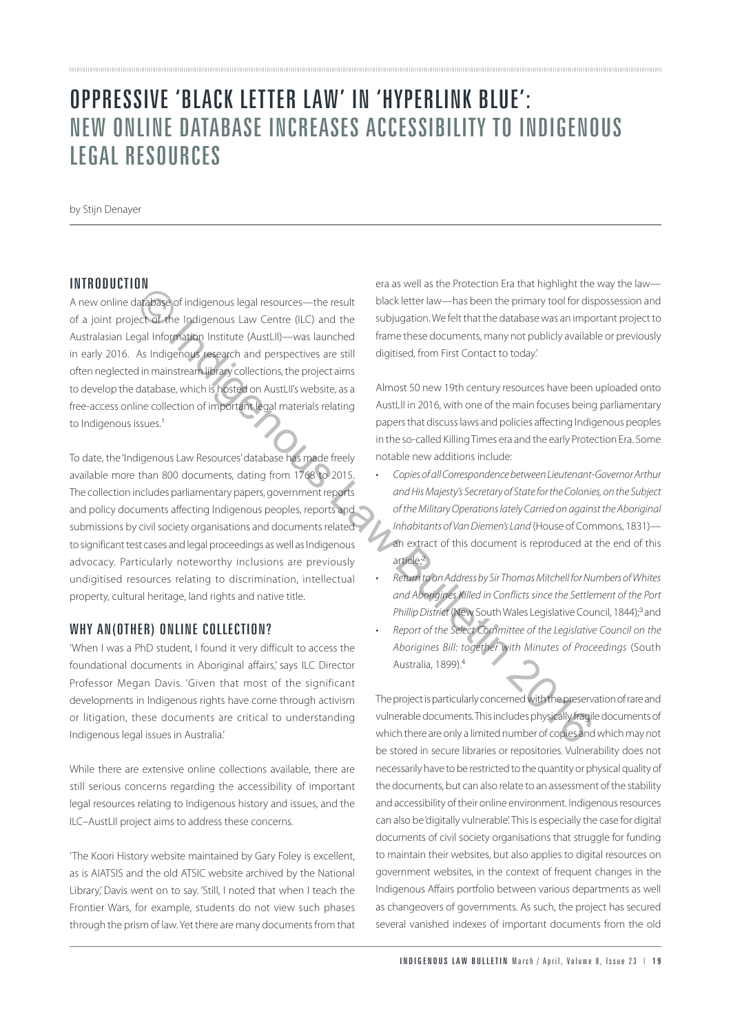# OPPRESSIVE 'BLACK LETTER LAW' IN 'HYPERLINK BLUE': NEW ONLINE DATABASE INCREASES ACCESSIBILITY TO INDIGENOUS LEGAL RESOURCES

by Stijn Denayer

#### **INTRODUCTION**

A new online database of indigenous legal resources—the result of a joint project of the Indigenous Law Centre (ILC) and the Australasian Legal Information Institute (AustLII)—was launched in early 2016. As Indigenous research and perspectives are still often neglected in mainstream library collections, the project aims to develop the database, which is hosted on AustLII's website, as a free-access online collection of important legal materials relating to Indigenous issues.<sup>1</sup>

To date, the 'Indigenous Law Resources' database has made freely available more than 800 documents, dating from 1768 to 2015. The collection includes parliamentary papers, government reports and policy documents affecting Indigenous peoples, reports and submissions by civil society organisations and documents related to significant test cases and legal proceedings as well as Indigenous advocacy. Particularly noteworthy inclusions are previously undigitised resources relating to discrimination, intellectual property, cultural heritage, land rights and native title. **Example 12**<br> **Example 12**<br> **Example 12**<br> **Example 12**<br> **Example 12**<br> **Example 12**<br> **Example 12**<br> **Example 12**<br> **Example 12**<br> **Example 12**<br> **Example 12**<br> **Example 12**<br> **Example 12**<br> **Example 12**<br> **Example 12**<br> **Example 12** 

### WHY AN(OTHER) ONLINE COLLECTION?

'When I was a PhD student, I found it very difficult to access the foundational documents in Aboriginal affairs,' says ILC Director Professor Megan Davis. 'Given that most of the significant developments in Indigenous rights have come through activism or litigation, these documents are critical to understanding Indigenous legal issues in Australia.'

While there are extensive online collections available, there are still serious concerns regarding the accessibility of important legal resources relating to Indigenous history and issues, and the ILC–AustLII project aims to address these concerns.

'The Koori History website maintained by Gary Foley is excellent, as is AIATSIS and the old ATSIC website archived by the National Library,' Davis went on to say. 'Still, I noted that when I teach the Frontier Wars, for example, students do not view such phases through the prism of law. Yet there are many documents from that

era as well as the Protection Era that highlight the way the law black letter law—has been the primary tool for dispossession and subjugation. We felt that the database was an important project to frame these documents, many not publicly available or previously digitised, from First Contact to today.'

Almost 50 new 19th century resources have been uploaded onto AustLII in 2016, with one of the main focuses being parliamentary papers that discuss laws and policies affecting Indigenous peoples in the so-called Killing Times era and the early Protection Era. Some notable new additions include:

- *• Copies of all Correspondence between Lieutenant-Governor Arthur and His Majesty's Secretary of State for the Colonies, on the Subject of the Military Operations lately Carried on against the Aboriginal Inhabitants of Van Diemen's Land* (House of Commons, 1831) an extract of this document is reproduced at the end of this article;<sup>2</sup>
- *• Return to an Address by Sir Thomas Mitchell for Numbers of Whites and Aborigines Killed in Conflicts since the Settlement of the Port Phillip District* (New South Wales Legislative Council, 1844);<sup>3</sup> and
- *• Report of the Select Committee of the Legislative Council on the Aborigines Bill: together with Minutes of Proceedings* (South Australia, 1899).<sup>4</sup>

The project is particularly concerned with the preservation of rare and vulnerable documents. This includes physically fragile documents of which there are only a limited number of copies and which may not be stored in secure libraries or repositories. Vulnerability does not necessarily have to be restricted to the quantity or physical quality of the documents, but can also relate to an assessment of the stability and accessibility of their online environment. Indigenous resources can also be 'digitally vulnerable'. This is especially the case for digital documents of civil society organisations that struggle for funding to maintain their websites, but also applies to digital resources on government websites, in the context of frequent changes in the Indigenous Affairs portfolio between various departments as well as changeovers of governments. As such, the project has secured several vanished indexes of important documents from the old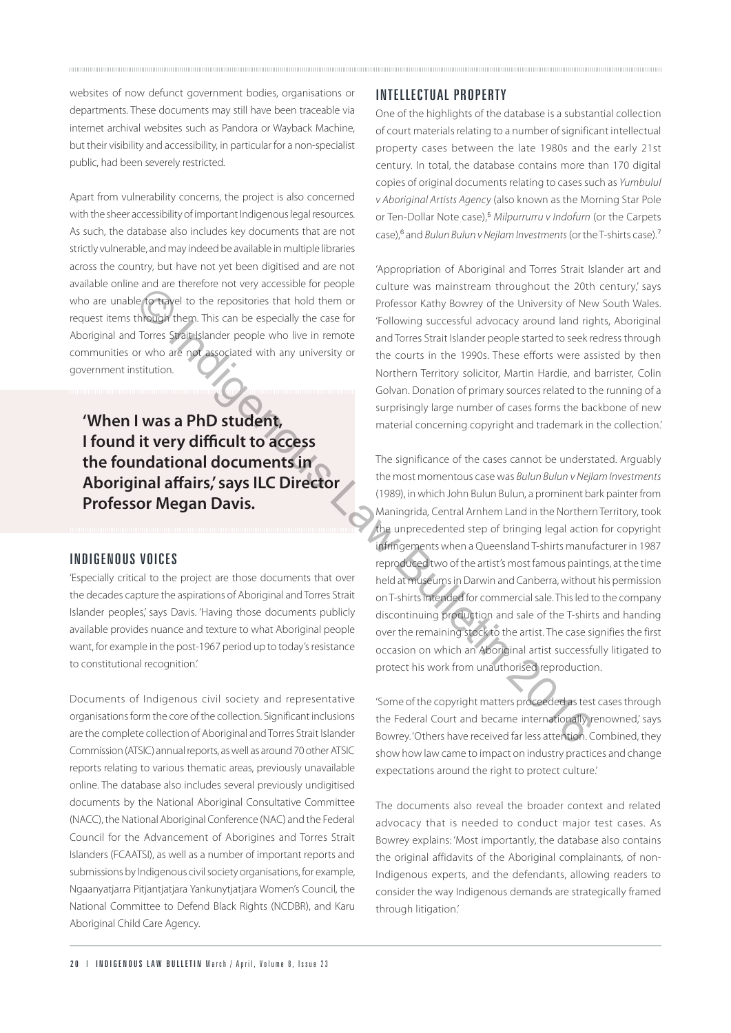websites of now defunct government bodies, organisations or departments. These documents may still have been traceable via internet archival websites such as Pandora or Wayback Machine, but their visibility and accessibility, in particular for a non-specialist public, had been severely restricted.

Apart from vulnerability concerns, the project is also concerned with the sheer accessibility of important Indigenous legal resources. As such, the database also includes key documents that are not strictly vulnerable, and may indeed be available in multiple libraries across the country, but have not yet been digitised and are not available online and are therefore not very accessible for people who are unable to travel to the repositories that hold them or request items through them. This can be especially the case for Aboriginal and Torres Strait Islander people who live in remote communities or who are not associated with any university or government institution.

**'When I was a PhD student, I found it very difficult to access the foundational documents in Aboriginal affairs,' says ILC Director Professor Megan Davis.**

#### INDIGENOUS VOICES

'Especially critical to the project are those documents that over the decades capture the aspirations of Aboriginal and Torres Strait Islander peoples,' says Davis. 'Having those documents publicly available provides nuance and texture to what Aboriginal people want, for example in the post-1967 period up to today's resistance to constitutional recognition.'

Documents of Indigenous civil society and representative organisations form the core of the collection. Significant inclusions are the complete collection of Aboriginal and Torres Strait Islander Commission (ATSIC) annual reports, as well as around 70 other ATSIC reports relating to various thematic areas, previously unavailable online. The database also includes several previously undigitised documents by the National Aboriginal Consultative Committee (NACC), the National Aboriginal Conference (NAC) and the Federal Council for the Advancement of Aborigines and Torres Strait Islanders (FCAATSI), as well as a number of important reports and submissions by Indigenous civil society organisations, for example, Ngaanyatjarra Pitjantjatjara Yankunytjatjara Women's Council, the National Committee to Defend Black Rights (NCDBR), and Karu Aboriginal Child Care Agency.

# INTELLECTUAL PROPERTY

One of the highlights of the database is a substantial collection of court materials relating to a number of significant intellectual property cases between the late 1980s and the early 21st century. In total, the database contains more than 170 digital copies of original documents relating to cases such as *Yumbulul v Aboriginal Artists Agency* (also known as the Morning Star Pole or Ten-Dollar Note case),<sup>5</sup> *Milpurrurru v Indofurn* (or the Carpets case),<sup>6</sup> and *Bulun Bulun v Nejlam Investments* (or the T-shirts case).<sup>7</sup>

'Appropriation of Aboriginal and Torres Strait Islander art and culture was mainstream throughout the 20th century, says Professor Kathy Bowrey of the University of New South Wales. 'Following successful advocacy around land rights, Aboriginal and Torres Strait Islander people started to seek redress through the courts in the 1990s. These efforts were assisted by then Northern Territory solicitor, Martin Hardie, and barrister, Colin Golvan. Donation of primary sources related to the running of a surprisingly large number of cases forms the backbone of new material concerning copyright and trademark in the collection.'

The significance of the cases cannot be understated. Arguably the most momentous case was *Bulun Bulun v Nejlam Investments* (1989), in which John Bulun Bulun, a prominent bark painter from Maningrida*,* Central Arnhem Land in the Northern Territory, took the unprecedented step of bringing legal action for copyright infringements when a Queensland T-shirts manufacturer in 1987 reproduced two of the artist's most famous paintings, at the time held at museums in Darwin and Canberra, without his permission on T-shirts intended for commercial sale. This led to the company discontinuing production and sale of the T-shirts and handing over the remaining stock to the artist. The case signifies the first occasion on which an Aboriginal artist successfully litigated to protect his work from unauthorised reproduction. Controller and the controller and the controller and the controller and the controller and the controller and the controller and the controller and the controller and the specially the controller and Torres Strait Islander

'Some of the copyright matters proceeded as test cases through the Federal Court and became internationally renowned, says Bowrey. 'Others have received far less attention. Combined, they show how law came to impact on industry practices and change expectations around the right to protect culture.'

The documents also reveal the broader context and related advocacy that is needed to conduct major test cases. As Bowrey explains: 'Most importantly, the database also contains the original affidavits of the Aboriginal complainants, of non-Indigenous experts, and the defendants, allowing readers to consider the way Indigenous demands are strategically framed through litigation.'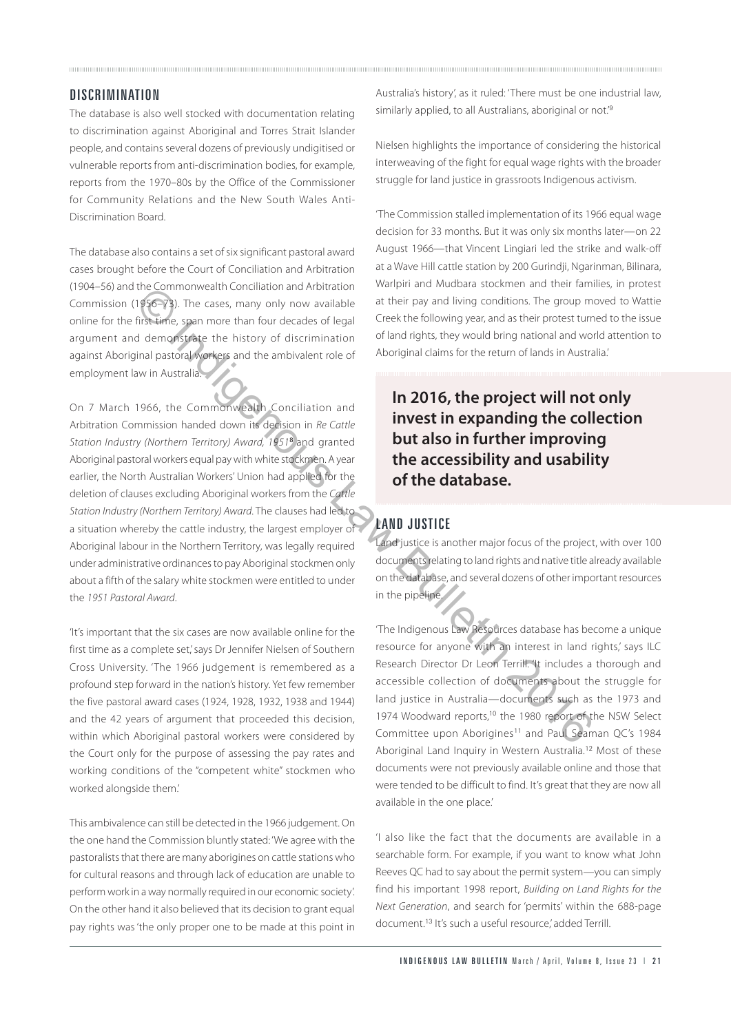#### **DISCRIMINATION**

The database is also well stocked with documentation relating to discrimination against Aboriginal and Torres Strait Islander people, and contains several dozens of previously undigitised or vulnerable reports from anti-discrimination bodies, for example, reports from the 1970–80s by the Office of the Commissioner for Community Relations and the New South Wales Anti-Discrimination Board.

The database also contains a set of six significant pastoral award cases brought before the Court of Conciliation and Arbitration (1904–56) and the Commonwealth Conciliation and Arbitration Commission (1956–73). The cases, many only now available online for the first time, span more than four decades of legal argument and demonstrate the history of discrimination against Aboriginal pastoral workers and the ambivalent role of employment law in Australia.

On 7 March 1966, the Commonwealth Conciliation and Arbitration Commission handed down its decision in *Re Cattle Station Industry (Northern Territory) Award, 1951*<sup>8</sup> and granted Aboriginal pastoral workers equal pay with white stockmen. A year earlier, the North Australian Workers' Union had applied for the deletion of clauses excluding Aboriginal workers from the *Cattle Station Industry (Northern Territory) Award*. The clauses had led to a situation whereby the cattle industry, the largest employer of Aboriginal labour in the Northern Territory, was legally required under administrative ordinances to pay Aboriginal stockmen only about a fifth of the salary white stockmen were entitled to under the *1951 Pastoral Award*. the Commonwealth Continuity and Architecton<br>
The Case, many only now available and the line pay and living conditions. The group means of<br>
The cases, many only now available and the line pay and living conditions. The grou

'It's important that the six cases are now available online for the first time as a complete set,' says Dr Jennifer Nielsen of Southern Cross University. 'The 1966 judgement is remembered as a profound step forward in the nation's history. Yet few remember the five pastoral award cases (1924, 1928, 1932, 1938 and 1944) and the 42 years of argument that proceeded this decision, within which Aboriginal pastoral workers were considered by the Court only for the purpose of assessing the pay rates and working conditions of the "competent white" stockmen who worked alongside them.'

This ambivalence can still be detected in the 1966 judgement. On the one hand the Commission bluntly stated: 'We agree with the pastoralists that there are many aborigines on cattle stations who for cultural reasons and through lack of education are unable to perform work in a way normally required in our economic society'. On the other hand it also believed that its decision to grant equal pay rights was 'the only proper one to be made at this point in

Australia's history', as it ruled: 'There must be one industrial law, similarly applied, to all Australians, aboriginal or not.<sup>9</sup>

Nielsen highlights the importance of considering the historical interweaving of the fight for equal wage rights with the broader struggle for land justice in grassroots Indigenous activism.

'The Commission stalled implementation of its 1966 equal wage decision for 33 months. But it was only six months later—on 22 August 1966—that Vincent Lingiari led the strike and walk-off at a Wave Hill cattle station by 200 Gurindji, Ngarinman, Bilinara, Warlpiri and Mudbara stockmen and their families, in protest at their pay and living conditions. The group moved to Wattie Creek the following year, and as their protest turned to the issue of land rights, they would bring national and world attention to Aboriginal claims for the return of lands in Australia.'

**In 2016, the project will not only invest in expanding the collection but also in further improving the accessibility and usability of the database.**

## LAND JUSTICE

Land justice is another major focus of the project, with over 100 documents relating to land rights and native title already available on the database, and several dozens of other important resources in the pipeline.

'The Indigenous Law Resources database has become a unique resource for anyone with an interest in land rights,' says ILC Research Director Dr Leon Terrill. 'It includes a thorough and accessible collection of documents about the struggle for land justice in Australia—documents such as the 1973 and 1974 Woodward reports,<sup>10</sup> the 1980 report of the NSW Select Committee upon Aborigines<sup>11</sup> and Paul Seaman OC's 1984 Aboriginal Land Inquiry in Western Australia.<sup>12</sup> Most of these documents were not previously available online and those that were tended to be difficult to find. It's great that they are now all available in the one place.'

'I also like the fact that the documents are available in a searchable form. For example, if you want to know what John Reeves QC had to say about the permit system—you can simply find his important 1998 report, *Building on Land Rights for the Next Generation*, and search for 'permits' within the 688-page document.<sup>13</sup> It's such a useful resource,' added Terrill.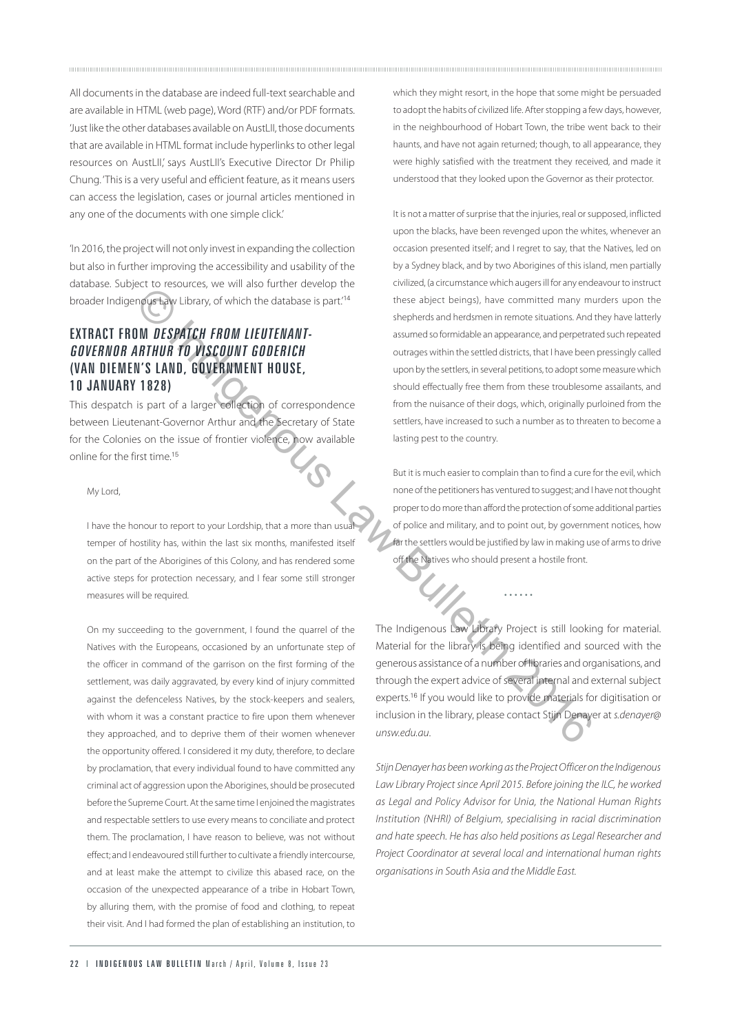All documents in the database are indeed full-text searchable and are available in HTML (web page), Word (RTF) and/or PDF formats. 'Just like the other databases available on AustLII, those documents that are available in HTML format include hyperlinks to other legal resources on AustLII, says AustLII's Executive Director Dr Philip Chung. 'This is a very useful and efficient feature, as it means users can access the legislation, cases or journal articles mentioned in any one of the documents with one simple click.'

'In 2016, the project will not only invest in expanding the collection but also in further improving the accessibility and usability of the database. Subject to resources, we will also further develop the broader Indigenous Law Library, of which the database is part.'<sup>14</sup>

# EXTRACT FROM DESPATCH FROM LIEUTENANT-GOVERNOR ARTHUR TO VISCOUNT GODERICH (VAN DIEMEN'S LAND, GOVERNMENT HOUSE, 10 JANUARY 1828)

This despatch is part of a larger collection of correspondence between Lieutenant-Governor Arthur and the Secretary of State for the Colonies on the issue of frontier violence, now available online for the first time.<sup>15</sup>

#### My Lord,

I have the honour to report to your Lordship, that a more than usual temper of hostility has, within the last six months, manifested itself on the part of the Aborigines of this Colony, and has rendered some active steps for protection necessary, and I fear some still stronger measures will be required.

On my succeeding to the government, I found the quarrel of the Natives with the Europeans, occasioned by an unfortunate step of the officer in command of the garrison on the first forming of the settlement, was daily aggravated, by every kind of injury committed against the defenceless Natives, by the stock-keepers and sealers, with whom it was a constant practice to fire upon them whenever they approached, and to deprive them of their women whenever the opportunity offered. I considered it my duty, therefore, to declare by proclamation, that every individual found to have committed any criminal act of aggression upon the Aborigines, should be prosecuted before the Supreme Court. At the same time I enjoined the magistrates and respectable settlers to use every means to conciliate and protect them. The proclamation, I have reason to believe, was not without effect; and I endeavoured still further to cultivate a friendly intercourse, and at least make the attempt to civilize this abased race, on the occasion of the unexpected appearance of a tribe in Hobart Town, by alluring them, with the promise of food and clothing, to repeat their visit. And I had formed the plan of establishing an institution, to

which they might resort, in the hope that some might be persuaded to adopt the habits of civilized life. After stopping a few days, however, in the neighbourhood of Hobart Town, the tribe went back to their haunts, and have not again returned; though, to all appearance, they were highly satisfied with the treatment they received, and made it understood that they looked upon the Governor as their protector.

It is not a matter of surprise that the injuries, real or supposed, inflicted upon the blacks, have been revenged upon the whites, whenever an occasion presented itself; and I regret to say, that the Natives, led on by a Sydney black, and by two Aborigines of this island, men partially civilized, (a circumstance which augers ill for any endeavour to instruct these abject beings), have committed many murders upon the shepherds and herdsmen in remote situations. And they have latterly assumed so formidable an appearance, and perpetrated such repeated outrages within the settled districts, that I have been pressingly called upon by the settlers, in several petitions, to adopt some measure which should effectually free them from these troublesome assailants, and from the nuisance of their dogs, which, originally purloined from the settlers, have increased to such a number as to threaten to become a lasting pest to the country. Even the three spect beings), have committed many mission in the section of the three spect beings), have committed many mission for the systems and notices and hordomes in emotions and in the **Bulletin 2016.**<br> **IN DESPATC** 

But it is much easier to complain than to find a cure for the evil, which none of the petitioners has ventured to suggest; and I have not thought proper to do more than afford the protection of some additional parties of police and military, and to point out, by government notices, how far the settlers would be justified by law in making use of arms to drive off the Natives who should present a hostile front.

The Indigenous Law Library Project is still looking for material. Material for the library is being identified and sourced with the generous assistance of a number of libraries and organisations, and through the expert advice of several internal and external subject experts.<sup>16</sup> If you would like to provide materials for digitisation or inclusion in the library, please contact Stijn Denayer at *s.denayer@ unsw.edu.au*.

• • • • • •

*Stijn Denayer has been working as the Project Officer on the Indigenous Law Library Project since April 2015. Before joining the ILC, he worked as Legal and Policy Advisor for Unia, the National Human Rights Institution (NHRI) of Belgium, specialising in racial discrimination and hate speech. He has also held positions as Legal Researcher and Project Coordinator at several local and international human rights organisations in South Asia and the Middle East.*